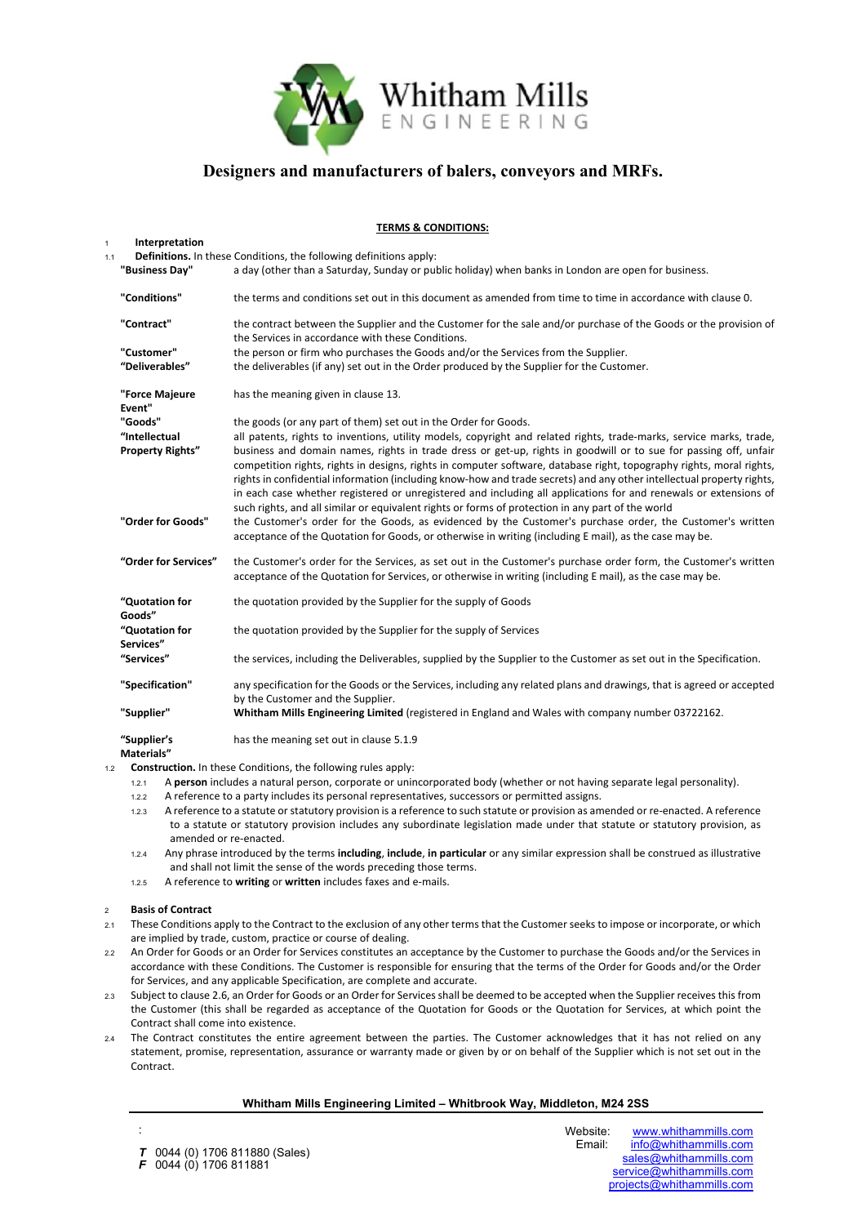

### **TERMS & CONDITIONS:**

#### <sup>1</sup>**Interpretation** 1.1 **Definitions.** In these Conditions, the following definitions apply:

| "Business Day"                           | a day (other than a Saturday, Sunday or public holiday) when banks in London are open for business.                                                                                                                                                                                                                                                             |
|------------------------------------------|-----------------------------------------------------------------------------------------------------------------------------------------------------------------------------------------------------------------------------------------------------------------------------------------------------------------------------------------------------------------|
| "Conditions"                             | the terms and conditions set out in this document as amended from time to time in accordance with clause 0.                                                                                                                                                                                                                                                     |
| "Contract"                               | the contract between the Supplier and the Customer for the sale and/or purchase of the Goods or the provision of<br>the Services in accordance with these Conditions.                                                                                                                                                                                           |
| "Customer"                               | the person or firm who purchases the Goods and/or the Services from the Supplier.                                                                                                                                                                                                                                                                               |
| "Deliverables"                           | the deliverables (if any) set out in the Order produced by the Supplier for the Customer.                                                                                                                                                                                                                                                                       |
| "Force Majeure<br>Event"                 | has the meaning given in clause 13.                                                                                                                                                                                                                                                                                                                             |
| "Goods"                                  | the goods (or any part of them) set out in the Order for Goods.                                                                                                                                                                                                                                                                                                 |
| "Intellectual<br><b>Property Rights"</b> | all patents, rights to inventions, utility models, copyright and related rights, trade-marks, service marks, trade,<br>business and domain names, rights in trade dress or get-up, rights in goodwill or to sue for passing off, unfair<br>competition rights, rights in designs, rights in computer software, database right, topography rights, moral rights, |
|                                          | rights in confidential information (including know-how and trade secrets) and any other intellectual property rights,<br>in each case whether registered or unregistered and including all applications for and renewals or extensions of<br>such rights, and all similar or equivalent rights or forms of protection in any part of the world                  |
| "Order for Goods"                        | the Customer's order for the Goods, as evidenced by the Customer's purchase order, the Customer's written<br>acceptance of the Quotation for Goods, or otherwise in writing (including E mail), as the case may be.                                                                                                                                             |
| "Order for Services"                     | the Customer's order for the Services, as set out in the Customer's purchase order form, the Customer's written<br>acceptance of the Quotation for Services, or otherwise in writing (including E mail), as the case may be.                                                                                                                                    |
| "Quotation for<br>Goods"                 | the quotation provided by the Supplier for the supply of Goods                                                                                                                                                                                                                                                                                                  |
| "Quotation for<br>Services"              | the quotation provided by the Supplier for the supply of Services                                                                                                                                                                                                                                                                                               |
| "Services"                               | the services, including the Deliverables, supplied by the Supplier to the Customer as set out in the Specification.                                                                                                                                                                                                                                             |
| "Specification"                          | any specification for the Goods or the Services, including any related plans and drawings, that is agreed or accepted                                                                                                                                                                                                                                           |
|                                          | by the Customer and the Supplier.                                                                                                                                                                                                                                                                                                                               |
| "Supplier"                               | Whitham Mills Engineering Limited (registered in England and Wales with company number 03722162.                                                                                                                                                                                                                                                                |
| "Supplier's<br>Materials"                | has the meaning set out in clause 5.1.9                                                                                                                                                                                                                                                                                                                         |

- 1.2 **Construction.** In these Conditions, the following rules apply:
	- 1.2.1 A **person** includes a natural person, corporate or unincorporated body (whether or not having separate legal personality).
	- 1.2.2 A reference to a party includes its personal representatives, successors or permitted assigns.
	- 1.2.3 A reference to a statute or statutory provision is a reference to such statute or provision as amended or re-enacted. A reference to a statute or statutory provision includes any subordinate legislation made under that statute or statutory provision, as amended or re-enacted.
	- 1.2.4 Any phrase introduced by the terms **including**, **include**, **in particular** or any similar expression shall be construed as illustrative and shall not limit the sense of the words preceding those terms.
	- 1.2.5 A reference to **writing** or **written** includes faxes and e-mails.

#### <sup>2</sup>**Basis of Contract**

:

- 2.1 These Conditions apply to the Contract to the exclusion of any other terms that the Customer seeks to impose or incorporate, or which are implied by trade, custom, practice or course of dealing.
- 2.2 An Order for Goods or an Order for Services constitutes an acceptance by the Customer to purchase the Goods and/or the Services in accordance with these Conditions. The Customer is responsible for ensuring that the terms of the Order for Goods and/or the Order for Services, and any applicable Specification, are complete and accurate.
- 2.3 Subject to clause 2.6, an Order for Goods or an Order for Services shall be deemed to be accepted when the Supplier receives this from the Customer (this shall be regarded as acceptance of the Quotation for Goods or the Quotation for Services, at which point the Contract shall come into existence.
- 2.4 The Contract constitutes the entire agreement between the parties. The Customer acknowledges that it has not relied on any statement, promise, representation, assurance or warranty made or given by or on behalf of the Supplier which is not set out in the Contract.

# **Whitham Mills Engineering Limited – Whitbrook Way, Middleton, M24 2SS**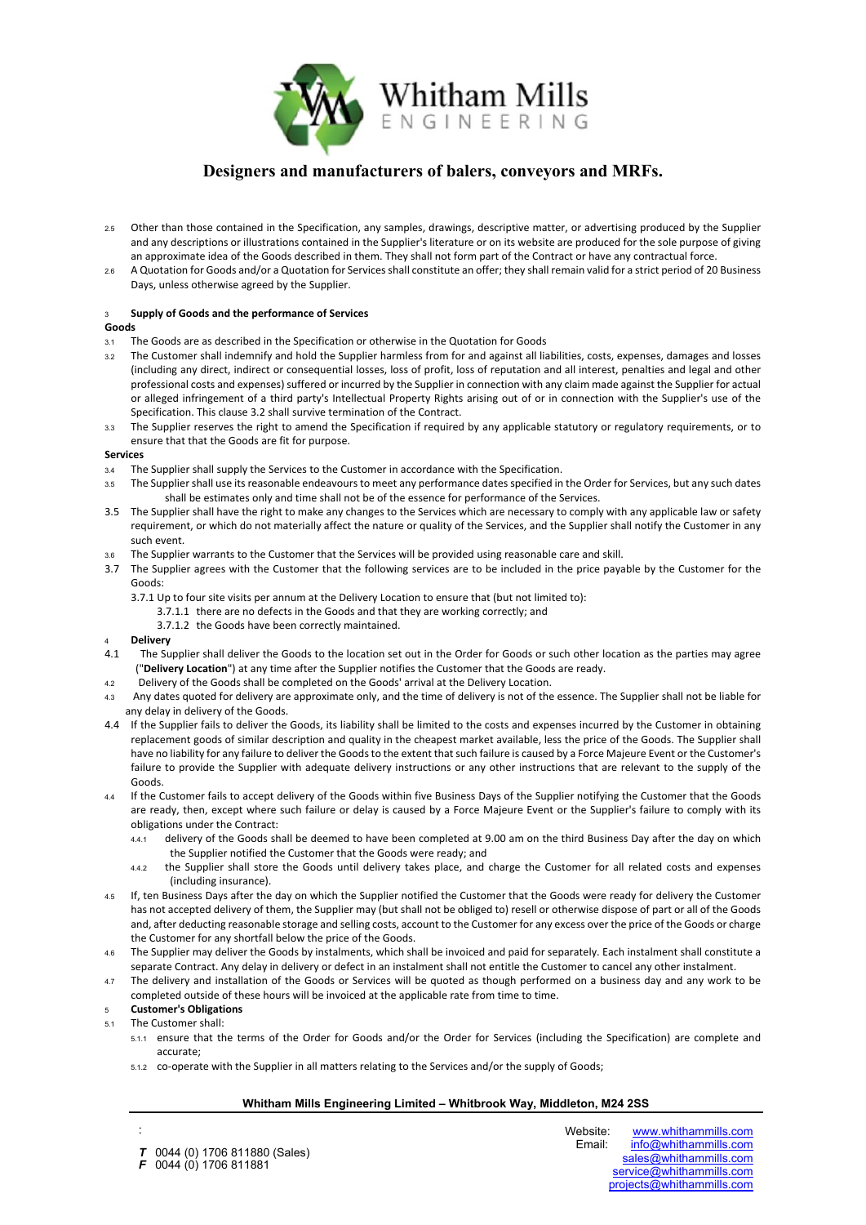

- 2.5 Other than those contained in the Specification, any samples, drawings, descriptive matter, or advertising produced by the Supplier and any descriptions or illustrations contained in the Supplier's literature or on its website are produced for the sole purpose of giving an approximate idea of the Goods described in them. They shall not form part of the Contract or have any contractual force.
- 2.6 A Quotation for Goods and/or a Quotation for Services shall constitute an offer; they shall remain valid for a strict period of 20 Business Days, unless otherwise agreed by the Supplier.

### <sup>3</sup>**Supply of Goods and the performance of Services**

#### **Goods**

- 3.1 The Goods are as described in the Specification or otherwise in the Quotation for Goods
- <span id="page-1-0"></span>3.2 The Customer shall indemnify and hold the Supplier harmless from for and against all liabilities, costs, expenses, damages and losses (including any direct, indirect or consequential losses, loss of profit, loss of reputation and all interest, penalties and legal and other professional costs and expenses) suffered or incurred by the Supplier in connection with any claim made against the Supplier for actual or alleged infringement of a third party's Intellectual Property Rights arising out of or in connection with the Supplier's use of the Specification. This clause [3.2](#page-1-0) shall survive termination of the Contract.
- 3.3 The Supplier reserves the right to amend the Specification if required by any applicable statutory or regulatory requirements, or to ensure that that the Goods are fit for purpose.

#### **Services**

- 3.4 The Supplier shall supply the Services to the Customer in accordance with the Specification.
- 3.5 The Supplier shall use its reasonable endeavours to meet any performance dates specified in the Order for Services, but any such dates shall be estimates only and time shall not be of the essence for performance of the Services.
- 3.5 The Supplier shall have the right to make any changes to the Services which are necessary to comply with any applicable law or safety requirement, or which do not materially affect the nature or quality of the Services, and the Supplier shall notify the Customer in any such event.
- 3.6 The Supplier warrants to the Customer that the Services will be provided using reasonable care and skill.
- 3.7 The Supplier agrees with the Customer that the following services are to be included in the price payable by the Customer for the Goods:
	- 3.7.1 Up to four site visits per annum at the Delivery Location to ensure that (but not limited to):
		- 3.7.1.1 there are no defects in the Goods and that they are working correctly; and
		- 3.7.1.2 the Goods have been correctly maintained.

- 4 **Delivery**<br>4.1 The Su The Supplier shall deliver the Goods to the location set out in the Order for Goods or such other location as the parties may agree ("**Delivery Location**") at any time after the Supplier notifies the Customer that the Goods are ready.
- 4.2 Delivery of the Goods shall be completed on the Goods' arrival at the Delivery Location.
- 4.3 Any dates quoted for delivery are approximate only, and the time of delivery is not of the essence. The Supplier shall not be liable for any delay in delivery of the Goods.
- 4.4 If the Supplier fails to deliver the Goods, its liability shall be limited to the costs and expenses incurred by the Customer in obtaining replacement goods of similar description and quality in the cheapest market available, less the price of the Goods. The Supplier shall have no liability for any failure to deliver the Goods to the extent that such failure is caused by a Force Majeure Event or the Customer's failure to provide the Supplier with adequate delivery instructions or any other instructions that are relevant to the supply of the Goods.
- 4.4 If the Customer fails to accept delivery of the Goods within five Business Days of the Supplier notifying the Customer that the Goods are ready, then, except where such failure or delay is caused by a Force Majeure Event or the Supplier's failure to comply with its obligations under the Contract:
	- 4.4.1 delivery of the Goods shall be deemed to have been completed at 9.00 am on the third Business Day after the day on which the Supplier notified the Customer that the Goods were ready; and
	- 4.4.2 the Supplier shall store the Goods until delivery takes place, and charge the Customer for all related costs and expenses (including insurance).
- 4.5 If, ten Business Days after the day on which the Supplier notified the Customer that the Goods were ready for delivery the Customer has not accepted delivery of them, the Supplier may (but shall not be obliged to) resell or otherwise dispose of part or all of the Goods and, after deducting reasonable storage and selling costs, account to the Customer for any excess over the price of the Goods or charge the Customer for any shortfall below the price of the Goods.
- 4.6 The Supplier may deliver the Goods by instalments, which shall be invoiced and paid for separately. Each instalment shall constitute a separate Contract. Any delay in delivery or defect in an instalment shall not entitle the Customer to cancel any other instalment.
- 4.7 The delivery and installation of the Goods or Services will be quoted as though performed on a business day and any work to be completed outside of these hours will be invoiced at the applicable rate from time to time.

### <sup>5</sup>**Customer's Obligations**

5.1 The Customer shall:

:

- 5.1.1 ensure that the terms of the Order for Goods and/or the Order for Services (including the Specification) are complete and accurate;
- 5.1.2 co-operate with the Supplier in all matters relating to the Services and/or the supply of Goods;

# **Whitham Mills Engineering Limited – Whitbrook Way, Middleton, M24 2SS**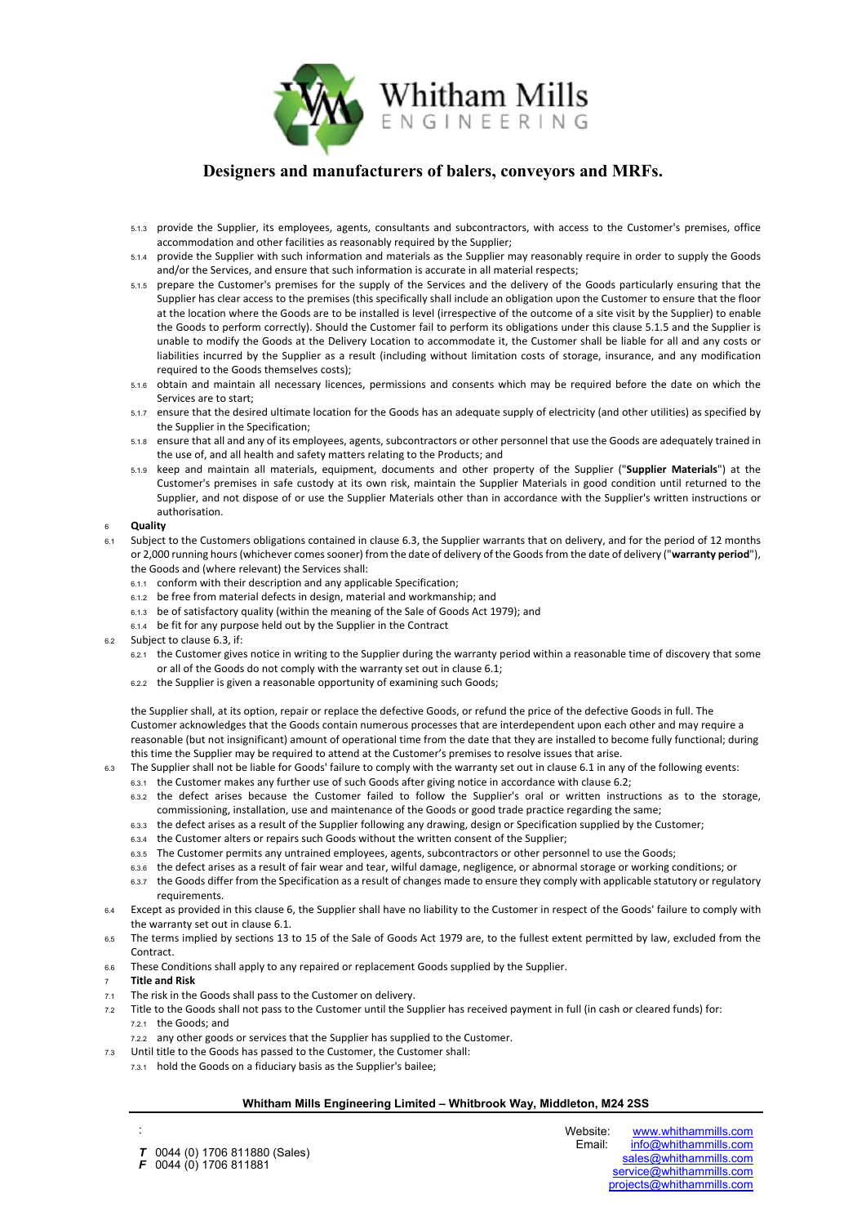

- 5.1.3 provide the Supplier, its employees, agents, consultants and subcontractors, with access to the Customer's premises, office accommodation and other facilities as reasonably required by the Supplier;
- 5.1.4 provide the Supplier with such information and materials as the Supplier may reasonably require in order to supply the Goods and/or the Services, and ensure that such information is accurate in all material respects;
- 5.1.5 prepare the Customer's premises for the supply of the Services and the delivery of the Goods particularly ensuring that the Supplier has clear access to the premises (this specifically shall include an obligation upon the Customer to ensure that the floor at the location where the Goods are to be installed is level (irrespective of the outcome of a site visit by the Supplier) to enable the Goods to perform correctly). Should the Customer fail to perform its obligations under this clause 5.1.5 and the Supplier is unable to modify the Goods at the Delivery Location to accommodate it, the Customer shall be liable for all and any costs or liabilities incurred by the Supplier as a result (including without limitation costs of storage, insurance, and any modification required to the Goods themselves costs);
- 5.1.6 obtain and maintain all necessary licences, permissions and consents which may be required before the date on which the Services are to start;
- 5.1.7 ensure that the desired ultimate location for the Goods has an adequate supply of electricity (and other utilities) as specified by the Supplier in the Specification;
- 5.1.8 ensure that all and any of its employees, agents, subcontractors or other personnel that use the Goods are adequately trained in the use of, and all health and safety matters relating to the Products; and
- <span id="page-2-0"></span>5.1.9 keep and maintain all materials, equipment, documents and other property of the Supplier ("**Supplier Materials**") at the Customer's premises in safe custody at its own risk, maintain the Supplier Materials in good condition until returned to the Supplier, and not dispose of or use the Supplier Materials other than in accordance with the Supplier's written instructions or authorisation.

### <span id="page-2-4"></span><sup>6</sup>**Quality**

- <span id="page-2-2"></span>6.1 Subject to the Customers obligations contained in claus[e 6.3,](#page-2-1) the Supplier warrants that on delivery, and for the period of 12 months or 2,000 running hours (whichever comes sooner) from the date of delivery of the Goods from the date of delivery ("**warranty period**"), the Goods and (where relevant) the Services shall:
	- 6.1.1 conform with their description and any applicable Specification;
	- 6.1.2 be free from material defects in design, material and workmanship; and
	- 6.1.3 be of satisfactory quality (within the meaning of the Sale of Goods Act 1979); and
	- 6.1.4 be fit for any purpose held out by the Supplier in the Contract
- <span id="page-2-3"></span>6.2 Subject to clause [6.3,](#page-2-1) if:
	- 6.2.1 the Customer gives notice in writing to the Supplier during the warranty period within a reasonable time of discovery that some or all of the Goods do not comply with the warranty set out in clause [6.1;](#page-2-2)
	- 6.2.2 the Supplier is given a reasonable opportunity of examining such Goods;

the Supplier shall, at its option, repair or replace the defective Goods, or refund the price of the defective Goods in full. The Customer acknowledges that the Goods contain numerous processes that are interdependent upon each other and may require a reasonable (but not insignificant) amount of operational time from the date that they are installed to become fully functional; during this time the Supplier may be required to attend at the Customer's premises to resolve issues that arise.

- <span id="page-2-1"></span>6.3 The Supplier shall not be liable for Goods' failure to comply with the warranty set out in clause [6.1](#page-2-2) in any of the following events:
	- 6.3.1 the Customer makes any further use of such Goods after giving notice in accordance with clause [6.2;](#page-2-3)
		- 6.3.2 the defect arises because the Customer failed to follow the Supplier's oral or written instructions as to the storage, commissioning, installation, use and maintenance of the Goods or good trade practice regarding the same;
		- 6.3.3 the defect arises as a result of the Supplier following any drawing, design or Specification supplied by the Customer;
		- 6.3.4 the Customer alters or repairs such Goods without the written consent of the Supplier;
		- 6.3.5 The Customer permits any untrained employees, agents, subcontractors or other personnel to use the Goods;
		- 6.3.6 the defect arises as a result of fair wear and tear, wilful damage, negligence, or abnormal storage or working conditions; or
	- 6.3.7 the Goods differ from the Specification as a result of changes made to ensure they comply with applicable statutory or regulatory requirements.
- 6.4 Except as provided in this clause [6,](#page-2-4) the Supplier shall have no liability to the Customer in respect of the Goods' failure to comply with the warranty set out in clause [6.1.](#page-2-2)
- 6.5 The terms implied by sections 13 to 15 of the Sale of Goods Act 1979 are, to the fullest extent permitted by law, excluded from the Contract.
- 6.6 These Conditions shall apply to any repaired or replacement Goods supplied by the Supplier.
- <sup>7</sup>**Title and Risk**

:

- 7.1 The risk in the Goods shall pass to the Customer on delivery.
- 7.2 Title to the Goods shall not pass to the Customer until the Supplier has received payment in full (in cash or cleared funds) for: 7.2.1 the Goods; and
	- 7.2.2 any other goods or services that the Supplier has supplied to the Customer.
- 7.3 Until title to the Goods has passed to the Customer, the Customer shall:
	- 7.3.1 hold the Goods on a fiduciary basis as the Supplier's bailee;

### **Whitham Mills Engineering Limited – Whitbrook Way, Middleton, M24 2SS**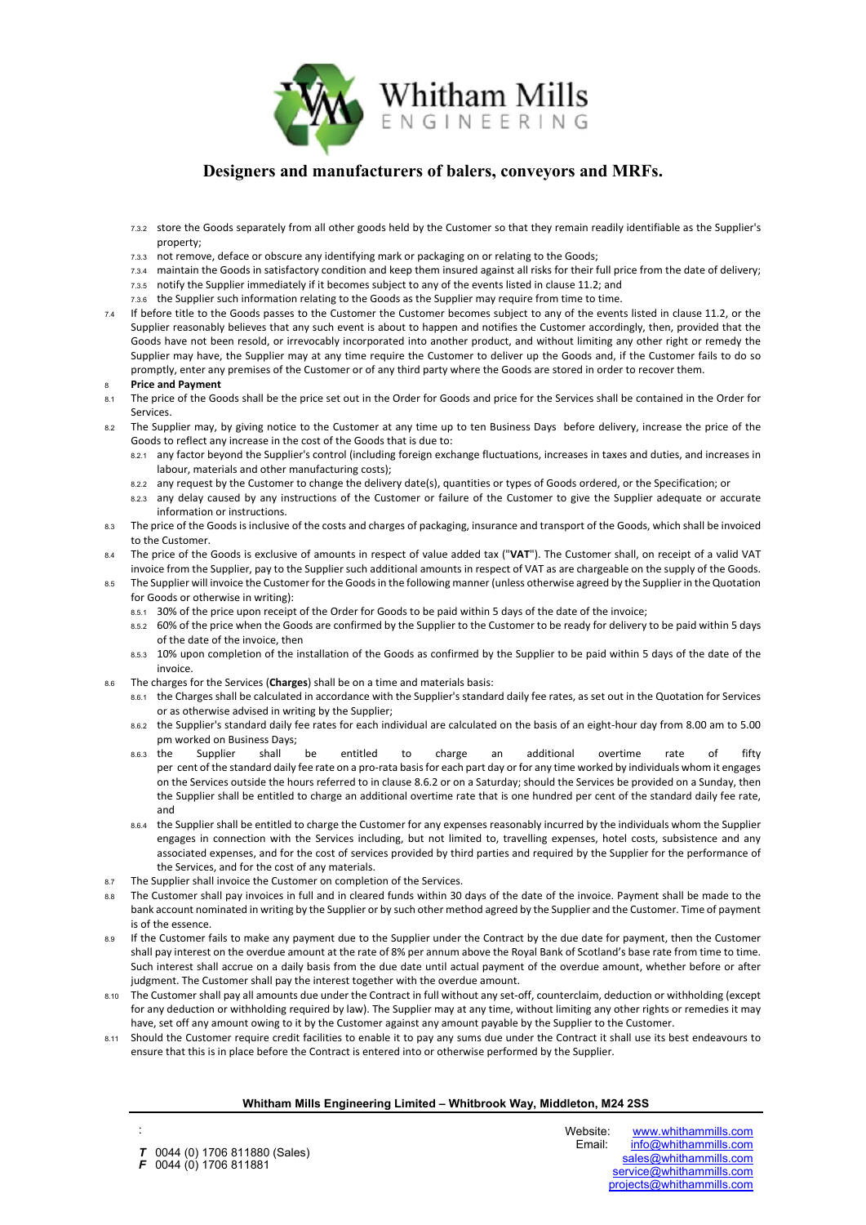

- 7.3.2 store the Goods separately from all other goods held by the Customer so that they remain readily identifiable as the Supplier's property;
- 7.3.3 not remove, deface or obscure any identifying mark or packaging on or relating to the Goods;
- 7.3.4 maintain the Goods in satisfactory condition and keep them insured against all risks for their full price from the date of delivery;
- 7.3.5 notify the Supplier immediately if it becomes subject to any of the events listed in clause [11.2;](#page-4-0) and
- 7.3.6 the Supplier such information relating to the Goods as the Supplier may require from time to time.
- 7.4 If before title to the Goods passes to the Customer the Customer becomes subject to any of the events listed in clause [11.2,](#page-4-0) or the Supplier reasonably believes that any such event is about to happen and notifies the Customer accordingly, then, provided that the Goods have not been resold, or irrevocably incorporated into another product, and without limiting any other right or remedy the Supplier may have, the Supplier may at any time require the Customer to deliver up the Goods and, if the Customer fails to do so promptly, enter any premises of the Customer or of any third party where the Goods are stored in order to recover them.

### <sup>8</sup>**Price and Payment**

- 8.1 The price of the Goods shall be the price set out in the Order for Goods and price for the Services shall be contained in the Order for Services.
- 8.2 The Supplier may, by giving notice to the Customer at any time up to ten Business Days before delivery, increase the price of the Goods to reflect any increase in the cost of the Goods that is due to:
	- 8.2.1 any factor beyond the Supplier's control (including foreign exchange fluctuations, increases in taxes and duties, and increases in labour, materials and other manufacturing costs);
	- 8.2.2 any request by the Customer to change the delivery date(s), quantities or types of Goods ordered, or the Specification; or
	- 8.2.3 any delay caused by any instructions of the Customer or failure of the Customer to give the Supplier adequate or accurate information or instructions.
- 8.3 The price of the Goods is inclusive of the costs and charges of packaging, insurance and transport of the Goods, which shall be invoiced to the Customer.
- 8.4 The price of the Goods is exclusive of amounts in respect of value added tax ("**VAT**"). The Customer shall, on receipt of a valid VAT invoice from the Supplier, pay to the Supplier such additional amounts in respect of VAT as are chargeable on the supply of the Goods.
- 8.5 The Supplier will invoice the Customer for the Goods in the following manner (unless otherwise agreed by the Supplier in the Quotation for Goods or otherwise in writing):
	- 8.5.1 30% of the price upon receipt of the Order for Goods to be paid within 5 days of the date of the invoice;
	- 8.5.2 60% of the price when the Goods are confirmed by the Supplier to the Customer to be ready for delivery to be paid within 5 days of the date of the invoice, then
	- 8.5.3 10% upon completion of the installation of the Goods as confirmed by the Supplier to be paid within 5 days of the date of the invoice.
- <span id="page-3-0"></span>8.6 The charges for the Services (**Charges**) shall be on a time and materials basis:
	- 8.6.1 the Charges shall be calculated in accordance with the Supplier's standard daily fee rates, as set out in the Quotation for Services or as otherwise advised in writing by the Supplier;
	- 8.6.2 the Supplier's standard daily fee rates for each individual are calculated on the basis of an eight-hour day from 8.00 am to 5.00 pm worked on Business Days;
	- 8.6.3 the Supplier shall be entitled to charge an additional overtime rate of fifty per cent of the standard daily fee rate on a pro-rata basis for each part day or for any time worked by individuals whom it engages on the Services outside the hours referred to in clause [8.6.2](#page-3-0) or on a Saturday; should the Services be provided on a Sunday, then the Supplier shall be entitled to charge an additional overtime rate that is one hundred per cent of the standard daily fee rate, and
	- 8.6.4 the Supplier shall be entitled to charge the Customer for any expenses reasonably incurred by the individuals whom the Supplier engages in connection with the Services including, but not limited to, travelling expenses, hotel costs, subsistence and any associated expenses, and for the cost of services provided by third parties and required by the Supplier for the performance of the Services, and for the cost of any materials.
- 8.7 The Supplier shall invoice the Customer on completion of the Services.
- 8.8 The Customer shall pay invoices in full and in cleared funds within 30 days of the date of the invoice. Payment shall be made to the bank account nominated in writing by the Supplier or by such other method agreed by the Supplier and the Customer. Time of payment is of the essence.
- 8.9 If the Customer fails to make any payment due to the Supplier under the Contract by the due date for payment, then the Customer shall pay interest on the overdue amount at the rate of 8% per annum above the Royal Bank of Scotland's base rate from time to time. Such interest shall accrue on a daily basis from the due date until actual payment of the overdue amount, whether before or after judgment. The Customer shall pay the interest together with the overdue amount.
- 8.10 The Customer shall pay all amounts due under the Contract in full without any set-off, counterclaim, deduction or withholding (except for any deduction or withholding required by law). The Supplier may at any time, without limiting any other rights or remedies it may have, set off any amount owing to it by the Customer against any amount payable by the Supplier to the Customer.
- 8.11 Should the Customer require credit facilities to enable it to pay any sums due under the Contract it shall use its best endeavours to ensure that this is in place before the Contract is entered into or otherwise performed by the Supplier.

### **Whitham Mills Engineering Limited – Whitbrook Way, Middleton, M24 2SS**

**T** 0044 (0) 1706 811880 (Sales)<br>**F** 0044 (0) 1706 811881 *F* 0044 (0) 1706 811881

: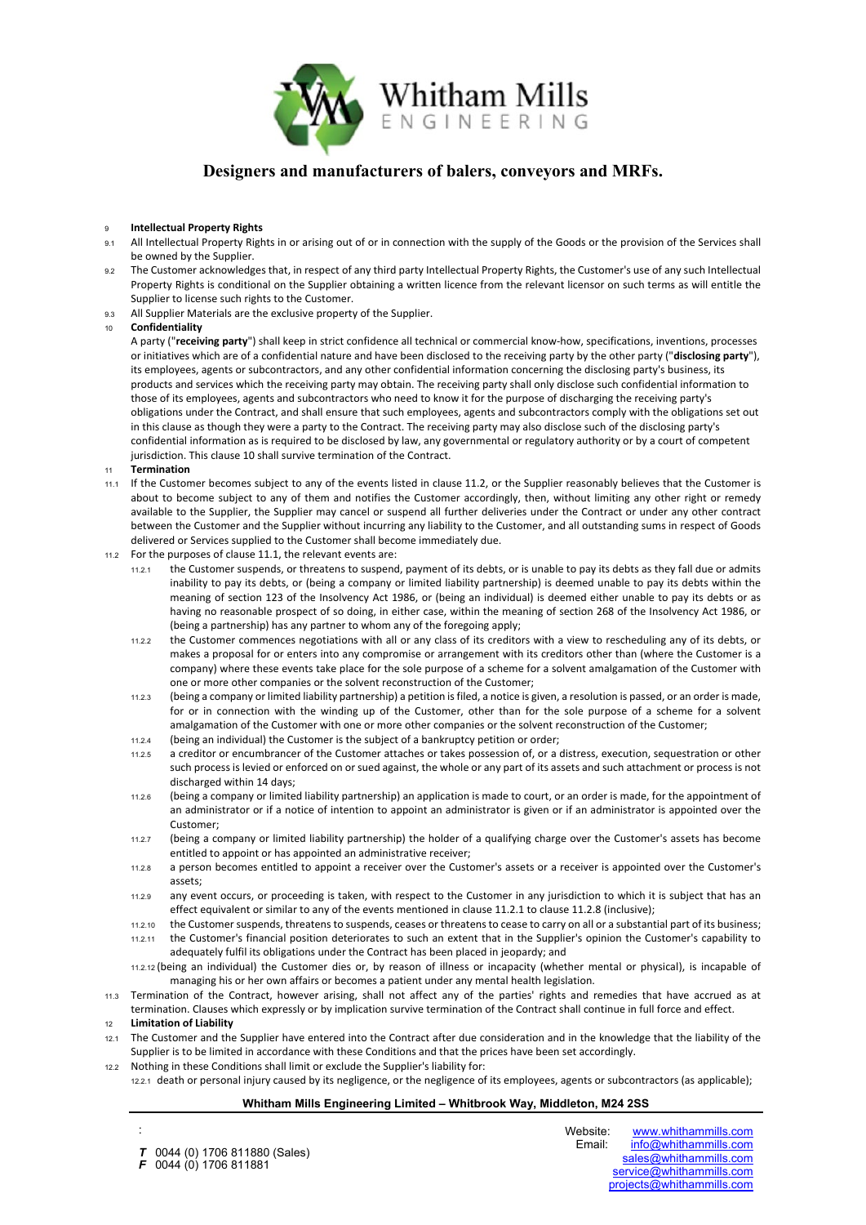

### <sup>9</sup>**Intellectual Property Rights**

- 9.1 All Intellectual Property Rights in or arising out of or in connection with the supply of the Goods or the provision of the Services shall be owned by the Supplier.
- 9.2 The Customer acknowledges that, in respect of any third party Intellectual Property Rights, the Customer's use of any such Intellectual Property Rights is conditional on the Supplier obtaining a written licence from the relevant licensor on such terms as will entitle the Supplier to license such rights to the Customer.
- 9.3 All Supplier Materials are the exclusive property of the Supplier.
- <span id="page-4-1"></span><sup>10</sup> **Confidentiality**

A party ("**receiving party**") shall keep in strict confidence all technical or commercial know-how, specifications, inventions, processes or initiatives which are of a confidential nature and have been disclosed to the receiving party by the other party ("**disclosing party**"), its employees, agents or subcontractors, and any other confidential information concerning the disclosing party's business, its products and services which the receiving party may obtain. The receiving party shall only disclose such confidential information to those of its employees, agents and subcontractors who need to know it for the purpose of discharging the receiving party's obligations under the Contract, and shall ensure that such employees, agents and subcontractors comply with the obligations set out in this clause as though they were a party to the Contract. The receiving party may also disclose such of the disclosing party's confidential information as is required to be disclosed by law, any governmental or regulatory authority or by a court of competent jurisdiction. This clause [10](#page-4-1) shall survive termination of the Contract.

- <sup>11</sup> **Termination**
- <span id="page-4-2"></span>11.1 If the Customer becomes subject to any of the events listed in clause [11.2,](#page-4-0) or the Supplier reasonably believes that the Customer is about to become subject to any of them and notifies the Customer accordingly, then, without limiting any other right or remedy available to the Supplier, the Supplier may cancel or suspend all further deliveries under the Contract or under any other contract between the Customer and the Supplier without incurring any liability to the Customer, and all outstanding sums in respect of Goods delivered or Services supplied to the Customer shall become immediately due.
- <span id="page-4-3"></span><span id="page-4-0"></span>11.2 For the purposes of clause [11.1,](#page-4-2) the relevant events are:
	- 11.2.1 the Customer suspends, or threatens to suspend, payment of its debts, or is unable to pay its debts as they fall due or admits inability to pay its debts, or (being a company or limited liability partnership) is deemed unable to pay its debts within the meaning of section 123 of the Insolvency Act 1986, or (being an individual) is deemed either unable to pay its debts or as having no reasonable prospect of so doing, in either case, within the meaning of section 268 of the Insolvency Act 1986, or (being a partnership) has any partner to whom any of the foregoing apply;
	- 11.2.2 the Customer commences negotiations with all or any class of its creditors with a view to rescheduling any of its debts, or makes a proposal for or enters into any compromise or arrangement with its creditors other than (where the Customer is a company) where these events take place for the sole purpose of a scheme for a solvent amalgamation of the Customer with one or more other companies or the solvent reconstruction of the Customer;
	- 11.2.3 (being a company or limited liability partnership) a petition is filed, a notice is given, a resolution is passed, or an order is made, for or in connection with the winding up of the Customer, other than for the sole purpose of a scheme for a solvent amalgamation of the Customer with one or more other companies or the solvent reconstruction of the Customer;
	- 11.2.4 (being an individual) the Customer is the subject of a bankruptcy petition or order;
	- 11.2.5 a creditor or encumbrancer of the Customer attaches or takes possession of, or a distress, execution, sequestration or other such process is levied or enforced on or sued against, the whole or any part of its assets and such attachment or process is not discharged within 14 days;
	- 11.2.6 (being a company or limited liability partnership) an application is made to court, or an order is made, for the appointment of an administrator or if a notice of intention to appoint an administrator is given or if an administrator is appointed over the Customer;
	- 11.2.7 (being a company or limited liability partnership) the holder of a qualifying charge over the Customer's assets has become entitled to appoint or has appointed an administrative receiver;
	- 11.2.8 a person becomes entitled to appoint a receiver over the Customer's assets or a receiver is appointed over the Customer's assets;
	- 11.2.9 any event occurs, or proceeding is taken, with respect to the Customer in any jurisdiction to which it is subject that has an effect equivalent or similar to any of the events mentioned in clause [11.2.1](#page-4-3) to clause [11.2.8](#page-4-4) (inclusive);
	- 11.2.10 the Customer suspends, threatens to suspends, ceases or threatens to cease to carry on all or a substantial part of its business;
	- 11.2.11 the Customer's financial position deteriorates to such an extent that in the Supplier's opinion the Customer's capability to adequately fulfil its obligations under the Contract has been placed in jeopardy; and
	- 11.2.12 (being an individual) the Customer dies or, by reason of illness or incapacity (whether mental or physical), is incapable of managing his or her own affairs or becomes a patient under any mental health legislation.
- <span id="page-4-4"></span>11.3 Termination of the Contract, however arising, shall not affect any of the parties' rights and remedies that have accrued as at termination. Clauses which expressly or by implication survive termination of the Contract shall continue in full force and effect.

### <sup>12</sup> **Limitation of Liability**

:

- <span id="page-4-5"></span>12.1 The Customer and the Supplier have entered into the Contract after due consideration and in the knowledge that the liability of the Supplier is to be limited in accordance with these Conditions and that the prices have been set accordingly.
- 12.2 Nothing in these Conditions shall limit or exclude the Supplier's liability for:
- 12.2.1 death or personal injury caused by its negligence, or the negligence of its employees, agents or subcontractors (as applicable);

# **Whitham Mills Engineering Limited – Whitbrook Way, Middleton, M24 2SS**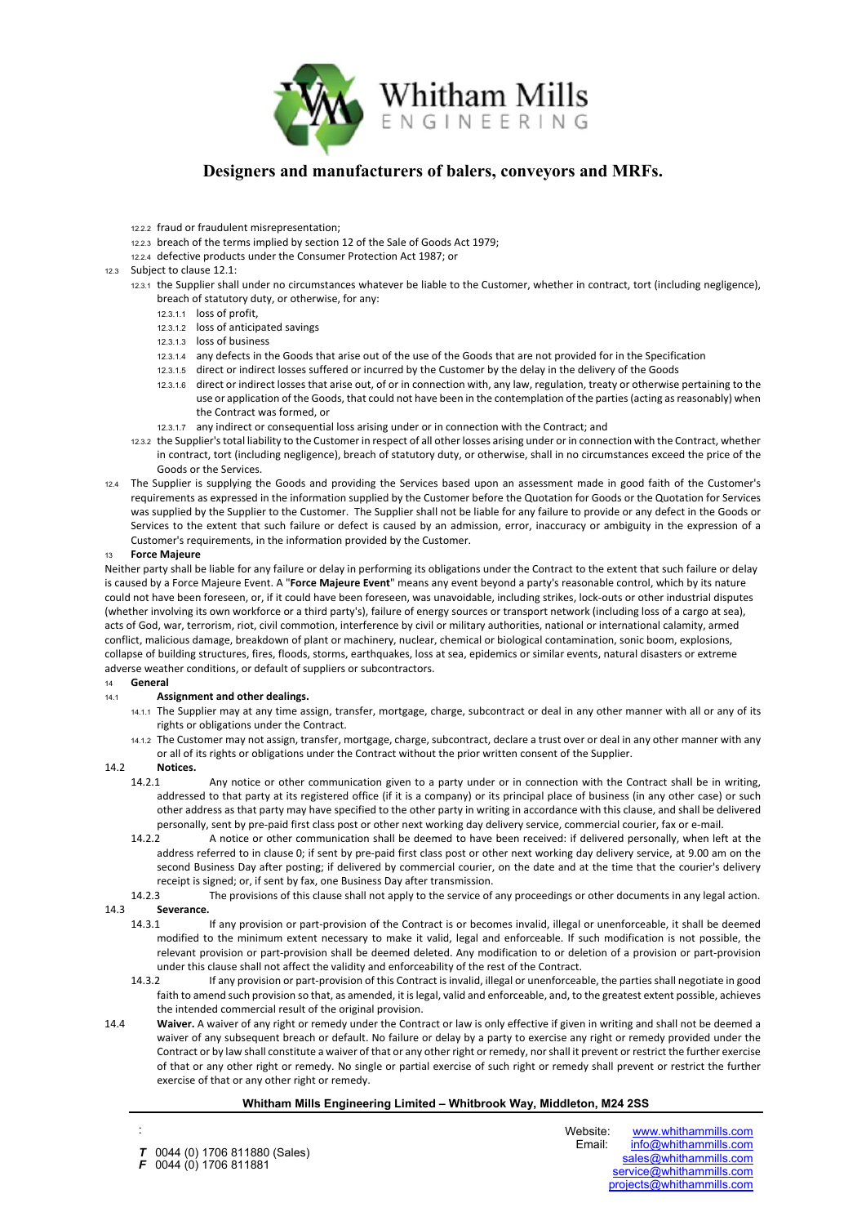

- 12.2.2 fraud or fraudulent misrepresentation;
- 12.2.3 breach of the terms implied by section 12 of the Sale of Goods Act 1979;
- 12.2.4 defective products under the Consumer Protection Act 1987; or
- 12.3 Subject to clause [12.1:](#page-4-5)
	- 12.3.1 the Supplier shall under no circumstances whatever be liable to the Customer, whether in contract, tort (including negligence), breach of statutory duty, or otherwise, for any:
		- 12.3.1.1 loss of profit,
		- 12.3.1.2 loss of anticipated savings
		- 12.3.1.3 loss of business
		- 12.3.1.4 any defects in the Goods that arise out of the use of the Goods that are not provided for in the Specification
		- 12.3.1.5 direct or indirect losses suffered or incurred by the Customer by the delay in the delivery of the Goods
		- 12.3.1.6 direct or indirect losses that arise out, of or in connection with, any law, regulation, treaty or otherwise pertaining to the use or application of the Goods, that could not have been in the contemplation of the parties (acting as reasonably) when the Contract was formed, or
		- 12.3.1.7 any indirect or consequential loss arising under or in connection with the Contract; and
	- 12.3.2 the Supplier's total liability to the Customer in respect of all other losses arising under or in connection with the Contract, whether in contract, tort (including negligence), breach of statutory duty, or otherwise, shall in no circumstances exceed the price of the Goods or the Services.
- 12.4 The Supplier is supplying the Goods and providing the Services based upon an assessment made in good faith of the Customer's requirements as expressed in the information supplied by the Customer before the Quotation for Goods or the Quotation for Services was supplied by the Supplier to the Customer. The Supplier shall not be liable for any failure to provide or any defect in the Goods or Services to the extent that such failure or defect is caused by an admission, error, inaccuracy or ambiguity in the expression of a Customer's requirements, in the information provided by the Customer.

### <span id="page-5-0"></span><sup>13</sup> **Force Majeure**

Neither party shall be liable for any failure or delay in performing its obligations under the Contract to the extent that such failure or delay is caused by a Force Majeure Event. A "**Force Majeure Event**" means any event beyond a party's reasonable control, which by its nature could not have been foreseen, or, if it could have been foreseen, was unavoidable, including strikes, lock-outs or other industrial disputes (whether involving its own workforce or a third party's), failure of energy sources or transport network (including loss of a cargo at sea), acts of God, war, terrorism, riot, civil commotion, interference by civil or military authorities, national or international calamity, armed conflict, malicious damage, breakdown of plant or machinery, nuclear, chemical or biological contamination, sonic boom, explosions, collapse of building structures, fires, floods, storms, earthquakes, loss at sea, epidemics or similar events, natural disasters or extreme adverse weather conditions, or default of suppliers or subcontractors.

#### <sup>14</sup> **General**

#### 14.1 **Assignment and other dealings.**

- 14.1.1 The Supplier may at any time assign, transfer, mortgage, charge, subcontract or deal in any other manner with all or any of its rights or obligations under the Contract.
- 14.1.2 The Customer may not assign, transfer, mortgage, charge, subcontract, declare a trust over or deal in any other manner with any or all of its rights or obligations under the Contract without the prior written consent of the Supplier.

### <span id="page-5-1"></span>14.2 **Notices.**

:

- 14.2.1 Any notice or other communication given to a party under or in connection with the Contract shall be in writing, addressed to that party at its registered office (if it is a company) or its principal place of business (in any other case) or such other address as that party may have specified to the other party in writing in accordance with this clause, and shall be delivered personally, sent by pre-paid first class post or other next working day delivery service, commercial courier, fax or e-mail.
- 14.2.2 A notice or other communication shall be deemed to have been received: if delivered personally, when left at the address referred to in clause [0;](#page-5-1) if sent by pre-paid first class post or other next working day delivery service, at 9.00 am on the second Business Day after posting; if delivered by commercial courier, on the date and at the time that the courier's delivery receipt is signed; or, if sent by fax, one Business Day after transmission.
- 14.2.3 The provisions of this clause shall not apply to the service of any proceedings or other documents in any legal action. 14.3 **Severance.**
- 14.3.1 If any provision or part-provision of the Contract is or becomes invalid, illegal or unenforceable, it shall be deemed modified to the minimum extent necessary to make it valid, legal and enforceable. If such modification is not possible, the relevant provision or part-provision shall be deemed deleted. Any modification to or deletion of a provision or part-provision
	- under this clause shall not affect the validity and enforceability of the rest of the Contract.<br>14.3.2 If any provision or part-provision of this Contract is invalid, illegal or unenforceal 14.3.2 If any provision or part-provision of this Contract is invalid, illegal or unenforceable, the parties shall negotiate in good faith to amend such provision so that, as amended, it is legal, valid and enforceable, and, to the greatest extent possible, achieves the intended commercial result of the original provision.
- 14.4 **Waiver.** A waiver of any right or remedy under the Contract or law is only effective if given in writing and shall not be deemed a waiver of any subsequent breach or default. No failure or delay by a party to exercise any right or remedy provided under the Contract or by law shall constitute a waiver of that or any other right or remedy, nor shall it prevent or restrict the further exercise of that or any other right or remedy. No single or partial exercise of such right or remedy shall prevent or restrict the further exercise of that or any other right or remedy.

### **Whitham Mills Engineering Limited – Whitbrook Way, Middleton, M24 2SS**